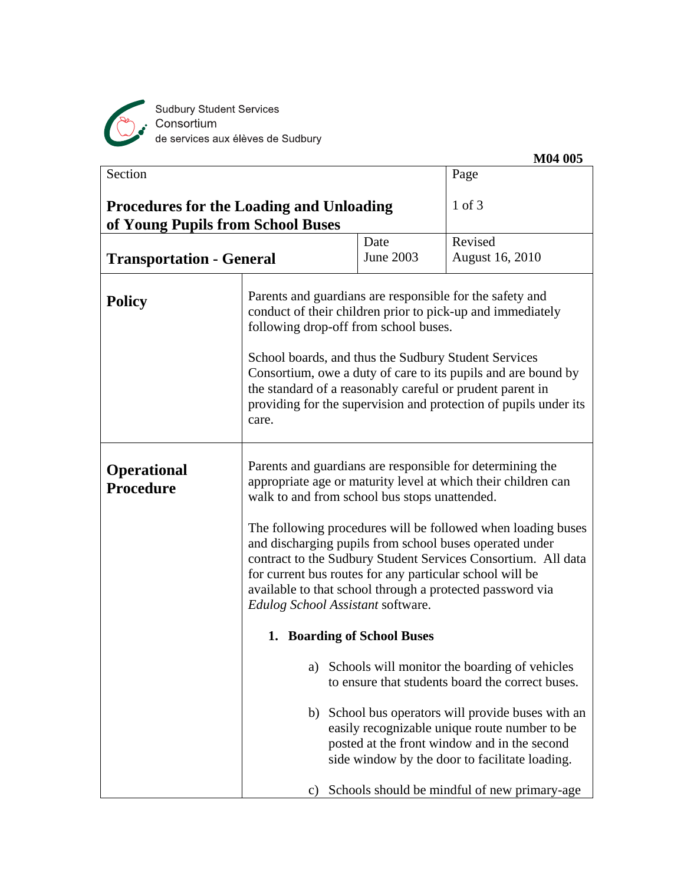

Sudbury Student Services<br>Consortium<br>de services aux élèves de Sudbury

| Section                                                                              |                                                                                                                                                                                                                                                                                                                                                                                                                                                                                                                                                                                                                                                                                                                                                                                                                                           |           | Page                                           |
|--------------------------------------------------------------------------------------|-------------------------------------------------------------------------------------------------------------------------------------------------------------------------------------------------------------------------------------------------------------------------------------------------------------------------------------------------------------------------------------------------------------------------------------------------------------------------------------------------------------------------------------------------------------------------------------------------------------------------------------------------------------------------------------------------------------------------------------------------------------------------------------------------------------------------------------------|-----------|------------------------------------------------|
| <b>Procedures for the Loading and Unloading</b><br>of Young Pupils from School Buses |                                                                                                                                                                                                                                                                                                                                                                                                                                                                                                                                                                                                                                                                                                                                                                                                                                           |           | $1$ of $3$                                     |
|                                                                                      |                                                                                                                                                                                                                                                                                                                                                                                                                                                                                                                                                                                                                                                                                                                                                                                                                                           | Date      | Revised                                        |
| <b>Transportation - General</b>                                                      |                                                                                                                                                                                                                                                                                                                                                                                                                                                                                                                                                                                                                                                                                                                                                                                                                                           | June 2003 | <b>August 16, 2010</b>                         |
| <b>Policy</b>                                                                        | Parents and guardians are responsible for the safety and<br>conduct of their children prior to pick-up and immediately<br>following drop-off from school buses.<br>School boards, and thus the Sudbury Student Services<br>Consortium, owe a duty of care to its pupils and are bound by<br>the standard of a reasonably careful or prudent parent in<br>providing for the supervision and protection of pupils under its<br>care.                                                                                                                                                                                                                                                                                                                                                                                                        |           |                                                |
| <b>Operational</b><br>Procedure                                                      | Parents and guardians are responsible for determining the<br>appropriate age or maturity level at which their children can<br>walk to and from school bus stops unattended.<br>The following procedures will be followed when loading buses<br>and discharging pupils from school buses operated under<br>contract to the Sudbury Student Services Consortium. All data<br>for current bus routes for any particular school will be<br>available to that school through a protected password via<br>Edulog School Assistant software.<br>1. Boarding of School Buses<br>Schools will monitor the boarding of vehicles<br>a)<br>to ensure that students board the correct buses.<br>School bus operators will provide buses with an<br>b)<br>easily recognizable unique route number to be<br>posted at the front window and in the second |           |                                                |
|                                                                                      |                                                                                                                                                                                                                                                                                                                                                                                                                                                                                                                                                                                                                                                                                                                                                                                                                                           |           | side window by the door to facilitate loading. |
|                                                                                      | C)                                                                                                                                                                                                                                                                                                                                                                                                                                                                                                                                                                                                                                                                                                                                                                                                                                        |           | Schools should be mindful of new primary-age   |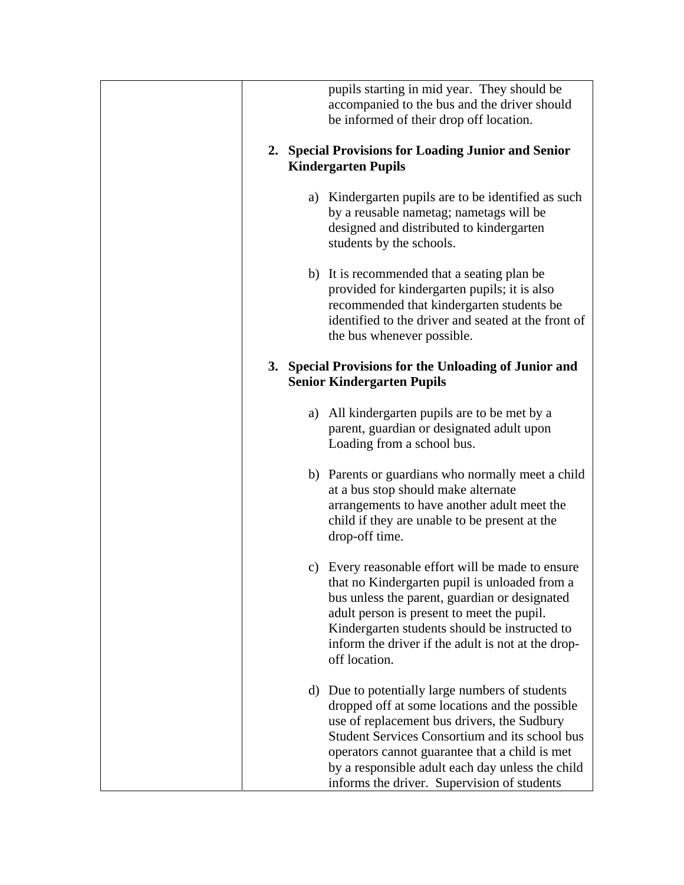| pupils starting in mid year. They should be<br>accompanied to the bus and the driver should<br>be informed of their drop off location.                                                                                                                                                                                                                            |
|-------------------------------------------------------------------------------------------------------------------------------------------------------------------------------------------------------------------------------------------------------------------------------------------------------------------------------------------------------------------|
| 2. Special Provisions for Loading Junior and Senior<br><b>Kindergarten Pupils</b>                                                                                                                                                                                                                                                                                 |
| a) Kindergarten pupils are to be identified as such<br>by a reusable nametag; nametags will be<br>designed and distributed to kindergarten<br>students by the schools.                                                                                                                                                                                            |
| b) It is recommended that a seating plan be<br>provided for kindergarten pupils; it is also<br>recommended that kindergarten students be<br>identified to the driver and seated at the front of<br>the bus whenever possible.                                                                                                                                     |
| 3. Special Provisions for the Unloading of Junior and<br><b>Senior Kindergarten Pupils</b>                                                                                                                                                                                                                                                                        |
| All kindergarten pupils are to be met by a<br>a)<br>parent, guardian or designated adult upon<br>Loading from a school bus.                                                                                                                                                                                                                                       |
| b) Parents or guardians who normally meet a child<br>at a bus stop should make alternate<br>arrangements to have another adult meet the<br>child if they are unable to be present at the<br>drop-off time.                                                                                                                                                        |
| c) Every reasonable effort will be made to ensure<br>that no Kindergarten pupil is unloaded from a<br>bus unless the parent, guardian or designated<br>adult person is present to meet the pupil.<br>Kindergarten students should be instructed to<br>inform the driver if the adult is not at the drop-<br>off location.                                         |
| Due to potentially large numbers of students<br>d)<br>dropped off at some locations and the possible<br>use of replacement bus drivers, the Sudbury<br><b>Student Services Consortium and its school bus</b><br>operators cannot guarantee that a child is met<br>by a responsible adult each day unless the child<br>informs the driver. Supervision of students |